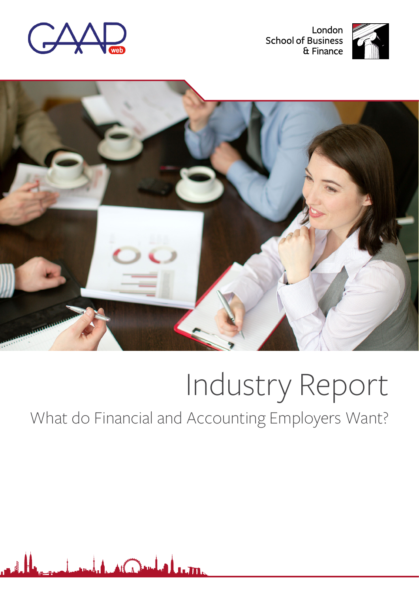

London **School of Business** & Finance





# Industry Report

# What do Financial and Accounting Employers Want?

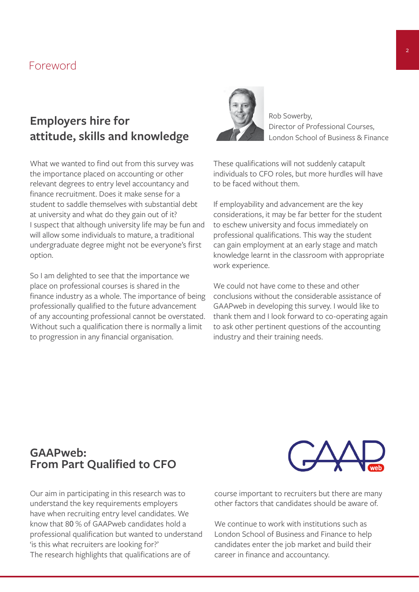## Foreword

## **Employers hire for attitude, skills and knowledge**

What we wanted to find out from this survey was the importance placed on accounting or other relevant degrees to entry level accountancy and finance recruitment. Does it make sense for a student to saddle themselves with substantial debt at university and what do they gain out of it? I suspect that although university life may be fun and will allow some individuals to mature, a traditional undergraduate degree might not be everyone's first option.

So I am delighted to see that the importance we place on professional courses is shared in the finance industry as a whole. The importance of being professionally qualified to the future advancement of any accounting professional cannot be overstated. Without such a qualification there is normally a limit to progression in any financial organisation.



Rob Sowerby, Director of Professional Courses, London School of Business & Finance

These qualifications will not suddenly catapult individuals to CFO roles, but more hurdles will have to be faced without them.

If employability and advancement are the key considerations, it may be far better for the student to eschew university and focus immediately on professional qualifications. This way the student can gain employment at an early stage and match knowledge learnt in the classroom with appropriate work experience.

We could not have come to these and other conclusions without the considerable assistance of GAAPweb in developing this survey. I would like to thank them and I look forward to co-operating again to ask other pertinent questions of the accounting industry and their training needs.

## **GAAPweb: From Part Qualified to CFO**

Our aim in participating in this research was to understand the key requirements employers have when recruiting entry level candidates. We know that 80 % of GAAPweb candidates hold a professional qualification but wanted to understand 'is this what recruiters are looking for?' The research highlights that qualifications are of



course important to recruiters but there are many other factors that candidates should be aware of.

We continue to work with institutions such as London School of Business and Finance to help candidates enter the job market and build their career in finance and accountancy.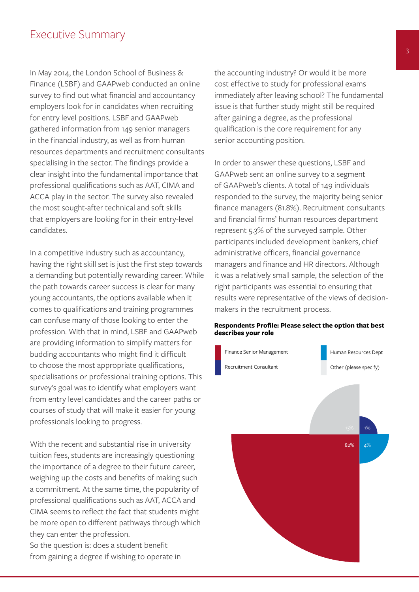## Executive Summary

In May 2014, the London School of Business & Finance (LSBF) and GAAPweb conducted an online survey to find out what financial and accountancy employers look for in candidates when recruiting for entry level positions. LSBF and GAAPweb gathered information from 149 senior managers in the financial industry, as well as from human resources departments and recruitment consultants specialising in the sector. The findings provide a clear insight into the fundamental importance that professional qualifications such as AAT, CIMA and ACCA play in the sector. The survey also revealed the most sought-after technical and soft skills that employers are looking for in their entry-level candidates.

In a competitive industry such as accountancy, having the right skill set is just the first step towards a demanding but potentially rewarding career. While the path towards career success is clear for many young accountants, the options available when it comes to qualifications and training programmes can confuse many of those looking to enter the profession. With that in mind, LSBF and GAAPweb are providing information to simplify matters for budding accountants who might find it difficult to choose the most appropriate qualifications, specialisations or professional training options. This survey's goal was to identify what employers want from entry level candidates and the career paths or courses of study that will make it easier for young professionals looking to progress.

With the recent and substantial rise in university tuition fees, students are increasingly questioning the importance of a degree to their future career, weighing up the costs and benefits of making such a commitment. At the same time, the popularity of professional qualifications such as AAT, ACCA and CIMA seems to reflect the fact that students might be more open to different pathways through which they can enter the profession.

So the question is: does a student benefit from gaining a degree if wishing to operate in the accounting industry? Or would it be more cost effective to study for professional exams immediately after leaving school? The fundamental issue is that further study might still be required after gaining a degree, as the professional qualification is the core requirement for any senior accounting position.

In order to answer these questions, LSBF and GAAPweb sent an online survey to a segment of GAAPweb's clients. A total of 149 individuals responded to the survey, the majority being senior finance managers (81.8%). Recruitment consultants and financial firms' human resources department represent 5.3% of the surveyed sample. Other participants included development bankers, chief administrative officers, financial governance managers and finance and HR directors. Although it was a relatively small sample, the selection of the right participants was essential to ensuring that results were representative of the views of decisionmakers in the recruitment process.

#### **Respondents Profile: Please select the option that best describes your role**

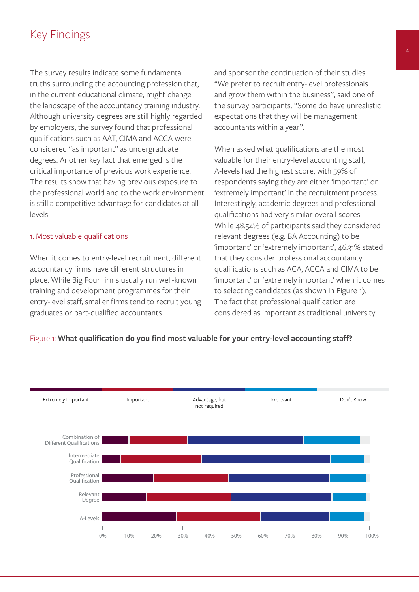## Key Findings

The survey results indicate some fundamental truths surrounding the accounting profession that, in the current educational climate, might change the landscape of the accountancy training industry. Although university degrees are still highly regarded by employers, the survey found that professional qualifications such as AAT, CIMA and ACCA were considered "as important" as undergraduate degrees. Another key fact that emerged is the critical importance of previous work experience. The results show that having previous exposure to the professional world and to the work environment is still a competitive advantage for candidates at all levels.

#### 1. Most valuable qualifications

When it comes to entry-level recruitment, different accountancy firms have different structures in place. While Big Four firms usually run well-known training and development programmes for their entry-level staff, smaller firms tend to recruit young graduates or part-qualified accountants

and sponsor the continuation of their studies. "We prefer to recruit entry-level professionals and grow them within the business", said one of the survey participants. "Some do have unrealistic expectations that they will be management accountants within a year".

When asked what qualifications are the most valuable for their entry-level accounting staff, A-levels had the highest score, with 59% of respondents saying they are either 'important' or 'extremely important' in the recruitment process. Interestingly, academic degrees and professional qualifications had very similar overall scores. While 48.54% of participants said they considered relevant degrees (e.g. BA Accounting) to be 'important' or 'extremely important', 46.31% stated that they consider professional accountancy qualifications such as ACA, ACCA and CIMA to be 'important' or 'extremely important' when it comes to selecting candidates (as shown in Figure 1). The fact that professional qualification are considered as important as traditional university



#### Figure 1: **What qualification do you find most valuable for your entry-level accounting staff?**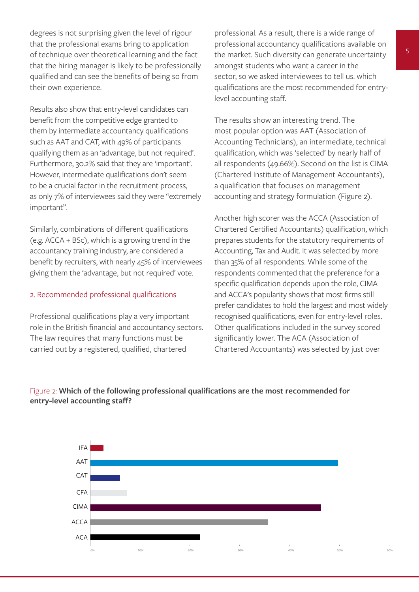degrees is not surprising given the level of rigour that the professional exams bring to application of technique over theoretical learning and the fact that the hiring manager is likely to be professionally qualified and can see the benefits of being so from their own experience.

Results also show that entry-level candidates can benefit from the competitive edge granted to them by intermediate accountancy qualifications such as AAT and CAT, with 49% of participants qualifying them as an 'advantage, but not required'. Furthermore, 30.2% said that they are 'important'. However, intermediate qualifications don't seem to be a crucial factor in the recruitment process, as only 7% of interviewees said they were "extremely important".

Similarly, combinations of different qualifications (e.g. ACCA + BSc), which is a growing trend in the accountancy training industry, are considered a benefit by recruiters, with nearly 45% of interviewees giving them the 'advantage, but not required' vote.

#### 2. Recommended professional qualifications

Professional qualifications play a very important role in the British financial and accountancy sectors. The law requires that many functions must be carried out by a registered, qualified, chartered

professional. As a result, there is a wide range of professional accountancy qualifications available on the market. Such diversity can generate uncertainty amongst students who want a career in the sector, so we asked interviewees to tell us. which qualifications are the most recommended for entrylevel accounting staff.

The results show an interesting trend. The most popular option was AAT (Association of Accounting Technicians), an intermediate, technical qualification, which was 'selected' by nearly half of all respondents (49.66%). Second on the list is CIMA (Chartered Institute of Management Accountants), a qualification that focuses on management accounting and strategy formulation (Figure 2).

Another high scorer was the ACCA (Association of Chartered Certified Accountants) qualification, which prepares students for the statutory requirements of Accounting, Tax and Audit. It was selected by more than 35% of all respondents. While some of the respondents commented that the preference for a specific qualification depends upon the role, CIMA and ACCA's popularity shows that most firms still prefer candidates to hold the largest and most widely recognised qualifications, even for entry-level roles. Other qualifications included in the survey scored significantly lower. The ACA (Association of Chartered Accountants) was selected by just over

### Figure 2: **Which of the following professional qualifications are the most recommended for entry-level accounting staff?**

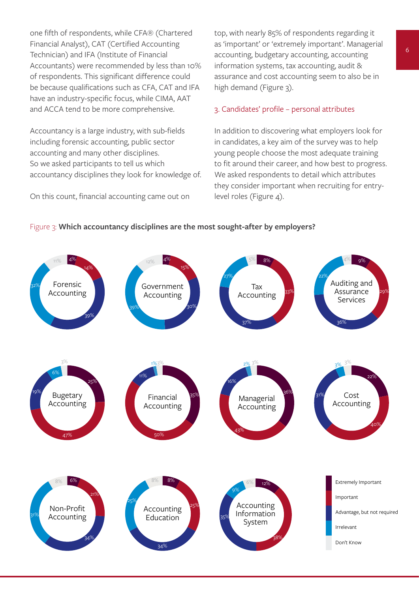one fifth of respondents, while CFA® (Chartered Financial Analyst), CAT (Certified Accounting Technician) and IFA (Institute of Financial Accountants) were recommended by less than 10% of respondents. This significant difference could be because qualifications such as CFA, CAT and IFA have an industry-specific focus, while CIMA, AAT and ACCA tend to be more comprehensive.

Accountancy is a large industry, with sub-fields including forensic accounting, public sector accounting and many other disciplines. So we asked participants to tell us which accountancy disciplines they look for knowledge of.

On this count, financial accounting came out on

top, with nearly 85% of respondents regarding it as 'important' or 'extremely important'. Managerial accounting, budgetary accounting, accounting information systems, tax accounting, audit & assurance and cost accounting seem to also be in high demand (Figure 3).

#### 3. Candidates' profile – personal attributes

In addition to discovering what employers look for in candidates, a key aim of the survey was to help young people choose the most adequate training to fit around their career, and how best to progress. We asked respondents to detail which attributes they consider important when recruiting for entrylevel roles (Figure 4).



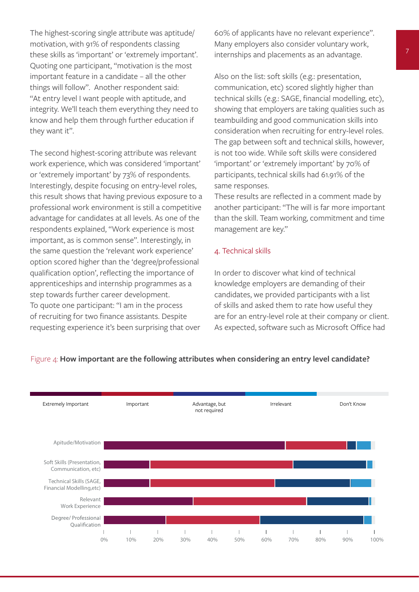The highest-scoring single attribute was aptitude/ motivation, with 91% of respondents classing these skills as 'important' or 'extremely important'. Quoting one participant, "motivation is the most important feature in a candidate – all the other things will follow". Another respondent said: "At entry level I want people with aptitude, and integrity. We'll teach them everything they need to know and help them through further education if they want it".

The second highest-scoring attribute was relevant work experience, which was considered 'important' or 'extremely important' by 73% of respondents. Interestingly, despite focusing on entry-level roles, this result shows that having previous exposure to a professional work environment is still a competitive advantage for candidates at all levels. As one of the respondents explained, "Work experience is most important, as is common sense". Interestingly, in the same question the 'relevant work experience' option scored higher than the 'degree/professional qualification option', reflecting the importance of apprenticeships and internship programmes as a step towards further career development. To quote one participant: "I am in the process of recruiting for two finance assistants. Despite requesting experience it's been surprising that over

60% of applicants have no relevant experience". Many employers also consider voluntary work, internships and placements as an advantage.

Also on the list: soft skills (e.g.: presentation, communication, etc) scored slightly higher than technical skills (e.g.: SAGE, financial modelling, etc), showing that employers are taking qualities such as teambuilding and good communication skills into consideration when recruiting for entry-level roles. The gap between soft and technical skills, however, is not too wide. While soft skills were considered 'important' or 'extremely important' by 70% of participants, technical skills had 61.91% of the same responses.

These results are reflected in a comment made by another participant: "The will is far more important than the skill. Team working, commitment and time management are key."

#### 4. Technical skills

In order to discover what kind of technical knowledge employers are demanding of their candidates, we provided participants with a list of skills and asked them to rate how useful they are for an entry-level role at their company or client. As expected, software such as Microsoft Office had



#### Figure 4: **How important are the following attributes when considering an entry level candidate?**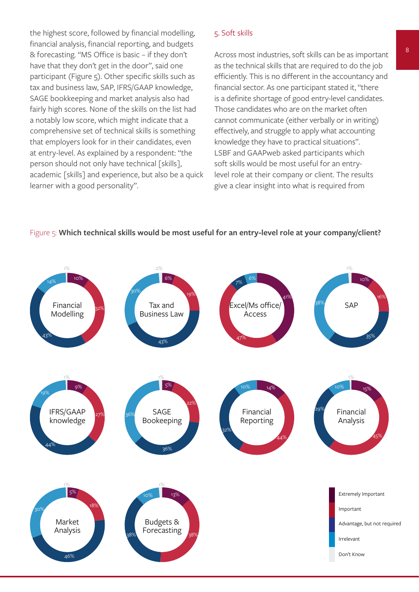the highest score, followed by financial modelling, financial analysis, financial reporting, and budgets & forecasting. "MS Office is basic – if they don't have that they don't get in the door", said one participant (Figure 5). Other specific skills such as tax and business law, SAP, IFRS/GAAP knowledge, SAGE bookkeeping and market analysis also had fairly high scores. None of the skills on the list had a notably low score, which might indicate that a comprehensive set of technical skills is something that employers look for in their candidates, even at entry-level. As explained by a respondent: "the person should not only have technical [skills], academic [skills] and experience, but also be a quick learner with a good personality".

#### 5. Soft skills

Across most industries, soft skills can be as important as the technical skills that are required to do the job efficiently. This is no different in the accountancy and financial sector. As one participant stated it, "there is a definite shortage of good entry-level candidates. Those candidates who are on the market often cannot communicate (either verbally or in writing) effectively, and struggle to apply what accounting knowledge they have to practical situations". LSBF and GAAPweb asked participants which soft skills would be most useful for an entrylevel role at their company or client. The results give a clear insight into what is required from



#### Figure 5: **Which technical skills would be most useful for an entry-level role at your company/client?**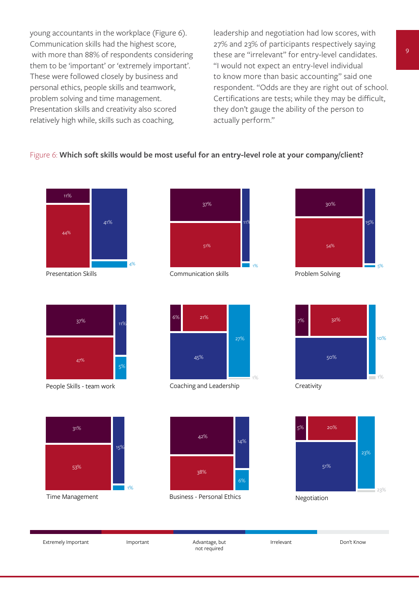young accountants in the workplace (Figure 6). Communication skills had the highest score, with more than 88% of respondents considering them to be 'important' or 'extremely important'. These were followed closely by business and personal ethics, people skills and teamwork, problem solving and time management. Presentation skills and creativity also scored relatively high while, skills such as coaching,

leadership and negotiation had low scores, with 27% and 23% of participants respectively saying these are "irrelevant" for entry-level candidates. "I would not expect an entry-level individual to know more than basic accounting" said one respondent. "Odds are they are right out of school. Certifications are tests; while they may be difficult, they don't gauge the ability of the person to actually perform."

#### Figure 6: **Which soft skills would be most useful for an entry-level role at your company/client?**





People Skills - team work Coaching and Leadership Creativity



27%

1%

Presentation Skills **Communication skills** Problem Solving Presentation Skills **Problem Solving** 











Time Management **All and Struth Business - Personal Ethics Negotiation** 



Extremely Important Important Important Advantage, but not required

Irrelevant Don't Know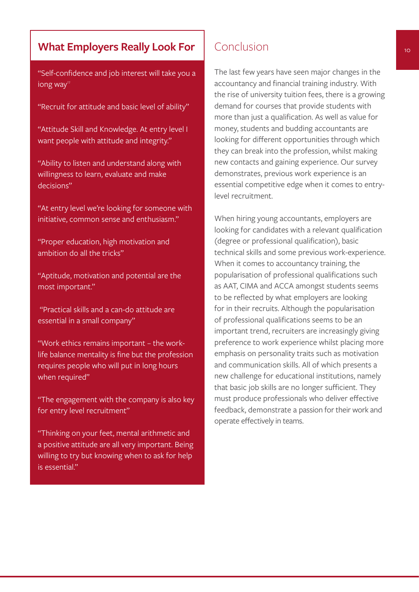## **What Employers Really Look For**

"Self-confidence and job interest will take you a long way"

- "Recruit for attitude and basic level of ability"
- "Attitude Skill and Knowledge. At entry level I want people with attitude and integrity."
- "Ability to listen and understand along with willingness to learn, evaluate and make decisions"

"At entry level we're looking for someone with initiative, common sense and enthusiasm."

"Proper education, high motivation and ambition do all the tricks"

"Aptitude, motivation and potential are the most important."

 "Practical skills and a can-do attitude are essential in a small company"

"Work ethics remains important – the worklife balance mentality is fine but the profession requires people who will put in long hours when required"

"The engagement with the company is also key for entry level recruitment"

"Thinking on your feet, mental arithmetic and a positive attitude are all very important. Being willing to try but knowing when to ask for help is essential"

## Conclusion

The last few years have seen major changes in the accountancy and financial training industry. With the rise of university tuition fees, there is a growing demand for courses that provide students with more than just a qualification. As well as value for money, students and budding accountants are looking for different opportunities through which they can break into the profession, whilst making new contacts and gaining experience. Our survey demonstrates, previous work experience is an essential competitive edge when it comes to entrylevel recruitment.

When hiring young accountants, employers are looking for candidates with a relevant qualification (degree or professional qualification), basic technical skills and some previous work-experience. When it comes to accountancy training, the popularisation of professional qualifications such as AAT, CIMA and ACCA amongst students seems to be reflected by what employers are looking for in their recruits. Although the popularisation of professional qualifications seems to be an important trend, recruiters are increasingly giving preference to work experience whilst placing more emphasis on personality traits such as motivation and communication skills. All of which presents a new challenge for educational institutions, namely that basic job skills are no longer sufficient. They must produce professionals who deliver effective feedback, demonstrate a passion for their work and operate effectively in teams.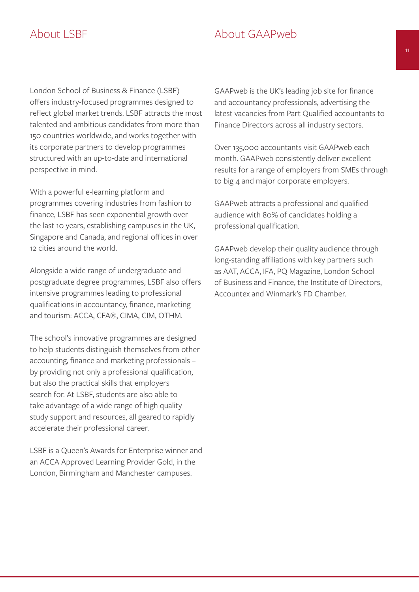## About LSBF About GAAPweb

London School of Business & Finance (LSBF) offers industry-focused programmes designed to reflect global market trends. LSBF attracts the most talented and ambitious candidates from more than 150 countries worldwide, and works together with its corporate partners to develop programmes structured with an up-to-date and international perspective in mind.

With a powerful e-learning platform and programmes covering industries from fashion to finance, LSBF has seen exponential growth over the last 10 years, establishing campuses in the UK, Singapore and Canada, and regional offices in over 12 cities around the world.

Alongside a wide range of undergraduate and postgraduate degree programmes, LSBF also offers intensive programmes leading to professional qualifications in accountancy, finance, marketing and tourism: ACCA, CFA®, CIMA, CIM, OTHM.

The school's innovative programmes are designed to help students distinguish themselves from other accounting, finance and marketing professionals – by providing not only a professional qualification, but also the practical skills that employers search for. At LSBF, students are also able to take advantage of a wide range of high quality study support and resources, all geared to rapidly accelerate their professional career.

LSBF is a Queen's Awards for Enterprise winner and an ACCA Approved Learning Provider Gold, in the London, Birmingham and Manchester campuses.

GAAPweb is the UK's leading job site for finance and accountancy professionals, advertising the latest vacancies from Part Qualified accountants to Finance Directors across all industry sectors.

Over 135,000 accountants visit GAAPweb each month. GAAPweb consistently deliver excellent results for a range of employers from SMEs through to big 4 and major corporate employers.

GAAPweb attracts a professional and qualified audience with 80% of candidates holding a professional qualification.

GAAPweb develop their quality audience through long-standing affiliations with key partners such as AAT, ACCA, IFA, PQ Magazine, London School of Business and Finance, the Institute of Directors, Accountex and Winmark's FD Chamber.